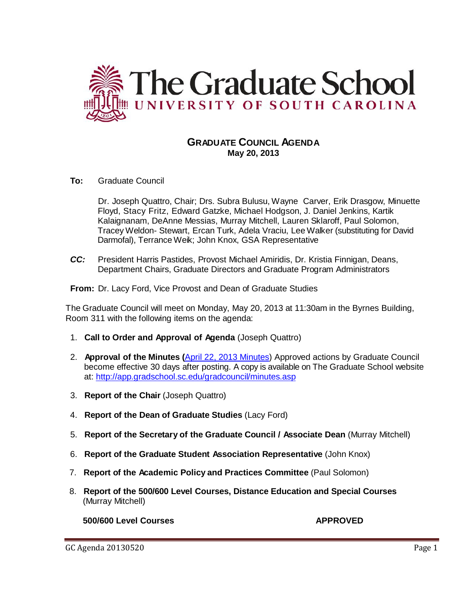

# **GRADUATE COUNCIL AGENDA May 20, 2013**

**To:** Graduate Council

Dr. Joseph Quattro, Chair; Drs. Subra Bulusu, Wayne Carver, Erik Drasgow, Minuette Floyd, Stacy Fritz, Edward Gatzke, Michael Hodgson, J. Daniel Jenkins, Kartik Kalaignanam, DeAnne Messias, Murray Mitchell, Lauren Sklaroff, Paul Solomon, Tracey Weldon- Stewart, Ercan Turk, Adela Vraciu, Lee Walker (substituting for David Darmofal), Terrance Weik; John Knox, GSA Representative

*CC:* President Harris Pastides, Provost Michael Amiridis, Dr. Kristia Finnigan, Deans, Department Chairs, Graduate Directors and Graduate Program Administrators

**From:** Dr. Lacy Ford, Vice Provost and Dean of Graduate Studies

The Graduate Council will meet on Monday, May 20, 2013 at 11:30am in the Byrnes Building, Room 311 with the following items on the agenda:

- 1. **Call to Order and Approval of Agenda** (Joseph Quattro)
- 2. **Approval of the Minutes (**[April 22, 2013](http://gradschool.sc.edu/facstaff/gradcouncil/2012/Graduate%20Council%20Agenda%20Monday,%20April%2022,%202013%20u20130422.pdf) Minutes) Approved actions by Graduate Council become effective 30 days after posting. A copy is available on The Graduate School website at:<http://app.gradschool.sc.edu/gradcouncil/minutes.asp>
- 3. **Report of the Chair** (Joseph Quattro)
- 4. **Report of the Dean of Graduate Studies** (Lacy Ford)
- 5. **Report of the Secretary of the Graduate Council / Associate Dean** (Murray Mitchell)
- 6. **Report of the Graduate Student Association Representative** (John Knox)
- 7. **Report of the Academic Policy and Practices Committee** (Paul Solomon)
- 8. **Report of the 500/600 Level Courses, Distance Education and Special Courses** (Murray Mitchell)

**500/600 Level Courses APPROVED**

GC Agenda 20130520 Page 1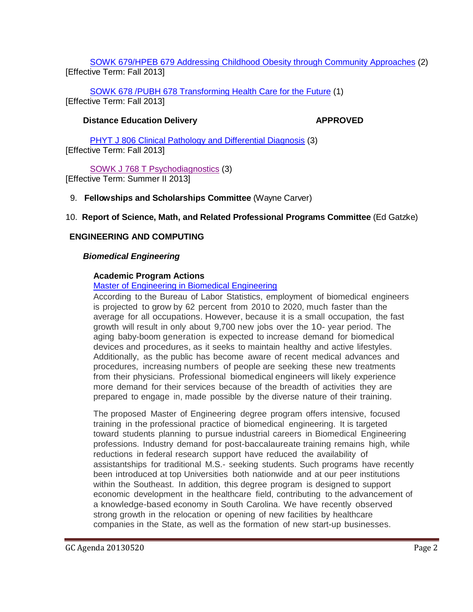SOWK 679/HPEB 679 [Addressing Childhood Obesity through Community Approaches](http://gradschool.sc.edu/facstaff/gradcouncil/2012/SOWK%20679%20Addressing%20Childhood%20Obesity%20through%20Community%20Approaches%20NCP_Redacted.pdf) (2) [Effective Term: Fall 2013]

[SOWK 678 /PUBH 678 Transforming Health Care for the Future](http://gradschool.sc.edu/facstaff/gradcouncil/2012/SOWK%20678%20Transforming%20Health%20Care%20for%20the%20Future%20NCP.pdf) (1) [Effective Term: Fall 2013]

# **Distance Education Delivery APPROVED**

[PHYT J 806 Clinical Pathology and Differential Diagnosis](http://gradschool.sc.edu/facstaff/gradcouncil/2012/PHYT%20J%20806%20Clinical%20Pathology%20and%20Differential%20Diagnosis%20DED_Redacted.pdf) (3) [Effective Term: Fall 2013]

[SOWK J 768 T Psychodiagnostics](http://gradschool.sc.edu/facstaff/gradcouncil/2012/SOWK%20J%20768%20T%20Psychodiagnostics%20DED%20STC.pdf) (3) [Effective Term: Summer II 2013]

## 9. **Fellowships and Scholarships Committee** (Wayne Carver)

## 10. **Report of Science, Math, and Related Professional Programs Committee** (Ed Gatzke)

## **ENGINEERING AND COMPUTING**

## *Biomedical Engineering*

## **Academic Program Actions**

## [Master of Engineering in Biomedical Engineering](http://gradschool.sc.edu/facstaff/gradcouncil/2012/Master%20of%20Engineering%20in%20Biomedical%20Engineering%20APA%20BCH%20u20130508.pdf)

According to the Bureau of Labor Statistics, employment of biomedical engineers is projected to grow by 62 percent from 2010 to 2020, much faster than the average for all occupations. However, because it is a small occupation, the fast growth will result in only about 9,700 new jobs over the 10- year period. The aging baby-boom generation is expected to increase demand for biomedical devices and procedures, as it seeks to maintain healthy and active lifestyles. Additionally, as the public has become aware of recent medical advances and procedures, increasing numbers of people are seeking these new treatments from their physicians. Professional biomedical engineers will likely experience more demand for their services because of the breadth of activities they are prepared to engage in, made possible by the diverse nature of their training.

The proposed Master of Engineering degree program offers intensive, focused training in the professional practice of biomedical engineering. It is targeted toward students planning to pursue industrial careers in Biomedical Engineering professions. Industry demand for post-baccalaureate training remains high, while reductions in federal research support have reduced the availability of assistantships for traditional M.S.- seeking students. Such programs have recently been introduced at top Universities both nationwide and at our peer institutions within the Southeast. In addition, this degree program is designed to support economic development in the healthcare field, contributing to the advancement of a knowledge-based economy in South Carolina. We have recently observed strong growth in the relocation or opening of new facilities by healthcare companies in the State, as well as the formation of new start-up businesses.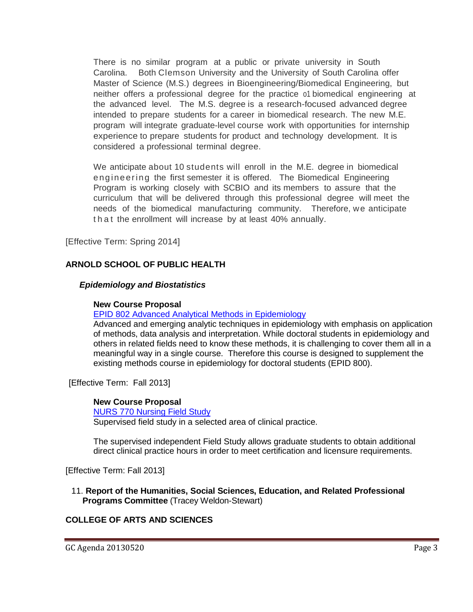There is no similar program at a public or private university in South Carolina. Both Clemson University and the University of South Carolina offer Master of Science (M.S.) degrees in Bioengineering/Biomedical Engineering, but neither offers a professional degree for the practice o1 biomedical engineering at the advanced level. The M.S. degree is a research-focused advanced degree intended to prepare students for a career in biomedical research. The new M.E. program will integrate graduate-level course work with opportunities for internship experience to prepare students for product and technology development. It is considered a professional terminal degree.

We anticipate about 10 students will enroll in the M.E. degree in biomedical engineering the first semester it is offered. The Biomedical Engineering Program is working closely with SCBIO and its members to assure that the curriculum that will be delivered through this professional degree will meet the needs of the biomedical manufacturing community. Therefore, we anticipate that the enrollment will increase by at least 40% annually.

[Effective Term: Spring 2014]

## **ARNOLD SCHOOL OF PUBLIC HEALTH**

#### *Epidemiology and Biostatistics*

#### **New Course Proposal**

[EPID 802 Advanced Analytical Methods in Epidemiology](http://gradschool.sc.edu/facstaff/gradcouncil/2012/EPID%20802%20Advanced%20Analytical%20Methods%20in%20Epidemiology%20NCP%20JUS.pdf)

Advanced and emerging analytic techniques in epidemiology with emphasis on application of methods, data analysis and interpretation. While doctoral students in epidemiology and others in related fields need to know these methods, it is challenging to cover them all in a meaningful way in a single course. Therefore this course is designed to supplement the existing methods course in epidemiology for doctoral students (EPID 800).

[Effective Term: Fall 2013]

#### **New Course Proposal**

[NURS 770 Nursing Field Study](http://gradschool.sc.edu/facstaff/gradcouncil/2012/NURS%20770%20Nursing%20Field%20Study%20NCP.pdf)

Supervised field study in a selected area of clinical practice.

The supervised independent Field Study allows graduate students to obtain additional direct clinical practice hours in order to meet certification and licensure requirements.

[Effective Term: Fall 2013]

## 11. **Report of the Humanities, Social Sciences, Education, and Related Professional Programs Committee** (Tracey Weldon-Stewart)

## **COLLEGE OF ARTS AND SCIENCES**

GC Agenda 20130520 Page 3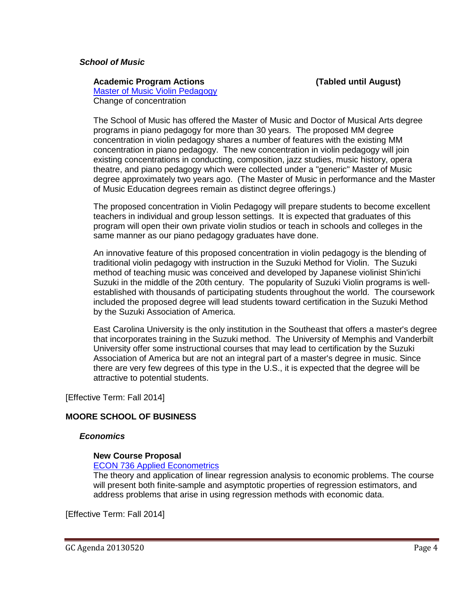#### *School of Music*

#### **Academic Program Actions (Tabled until August)**

[Master of Music Violin Pedagogy](http://gradschool.sc.edu/facstaff/gradcouncil/2012/Master%20of%20Music%20APA%20BCH%20JUS.pdf) Change of concentration

The School of Music has offered the Master of Music and Doctor of Musical Arts degree programs in piano pedagogy for more than 30 years. The proposed MM degree concentration in violin pedagogy shares a number of features with the existing MM concentration in piano pedagogy. The new concentration in violin pedagogy will join existing concentrations in conducting, composition, jazz studies, music history, opera theatre, and piano pedagogy which were collected under a "generic" Master of Music degree approximately two years ago. (The Master of Music in performance and the Master of Music Education degrees remain as distinct degree offerings.)

The proposed concentration in Violin Pedagogy will prepare students to become excellent teachers in individual and group lesson settings. It is expected that graduates of this program will open their own private violin studios or teach in schools and colleges in the same manner as our piano pedagogy graduates have done.

An innovative feature of this proposed concentration in violin pedagogy is the blending of traditional violin pedagogy with instruction in the Suzuki Method for Violin. The Suzuki method of teaching music was conceived and developed by Japanese violinist Shin'ichi Suzuki in the middle of the 20th century. The popularity of Suzuki Violin programs is wellestablished with thousands of participating students throughout the world. The coursework included the proposed degree will lead students toward certification in the Suzuki Method by the Suzuki Association of America.

East Carolina University is the only institution in the Southeast that offers a master's degree that incorporates training in the Suzuki method. The University of Memphis and Vanderbilt University offer some instructional courses that may lead to certification by the Suzuki Association of America but are not an integral part of a master's degree in music. Since there are very few degrees of this type in the U.S., it is expected that the degree will be attractive to potential students.

[Effective Term: Fall 2014]

## **MOORE SCHOOL OF BUSINESS**

#### *Economics*

## **New Course Proposal**

## [ECON 736 Applied Econometrics](http://gradschool.sc.edu/facstaff/gradcouncil/2012/ECON%20736%20Applied%20Econometrics%20NCP%20BCH%20updated20130506.pdf)

The theory and application of linear regression analysis to economic problems. The course will present both finite-sample and asymptotic properties of regression estimators, and address problems that arise in using regression methods with economic data.

[Effective Term: Fall 2014]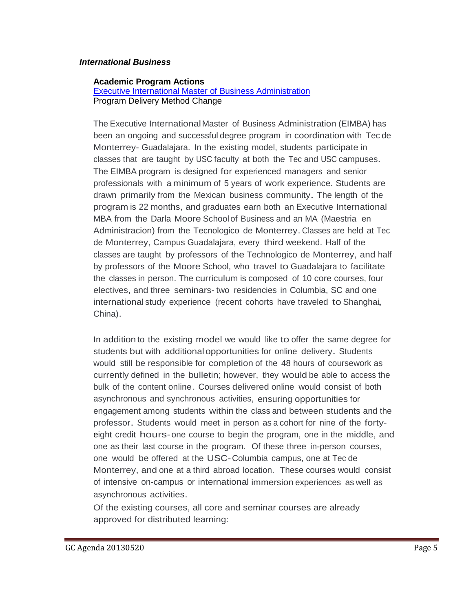#### *International Business*

#### **Academic Program Actions**

[Executive International Master of Business Administration](http://gradschool.sc.edu/facstaff/gradcouncil/2012/Executive%20International%20Master%20of%20Business%20Administration%20APA%20JUS.pdf) Program Delivery Method Change

The Executive InternationalMaster of Business Administration (EIMBA) has been an ongoing and successful degree program in coordination with Tec de Monterrey- Guadalajara. In the existing model, students participate in classes that are taught by USC faculty at both the Tec and USC campuses. The EIMBA program is designed for experienced managers and senior professionals with a minimum of 5 years of work experience. Students are drawn primarily from the Mexican business community. The length of the program is 22 months, and graduates earn both an Executive International MBA from the Darla Moore Schoolof Business and an MA (Maestria en Administracion) from the Tecnologico de Monterrey.Classes are held at Tec de Monterrey, Campus Guadalajara, every third weekend. Half of the classes are taught by professors of the Technologico de Monterrey, and half by professors of the Moore School, who travel to Guadalajara to facilitate the classes in person. The curriculum is composed of 10 core courses, four electives, and three seminars- two residencies in Columbia, SC and one international study experience (recent cohorts have traveled to Shanghai, China).

In addition to the existing model we would like to offer the same degree for students but with additionalopportunities for online delivery. Students would still be responsible for completion of the 48 hours of coursework as currently defined in the bulletin; however, they would be able to access the bulk of the content online. Courses delivered online would consist of both asynchronous and synchronous activities, ensuring opportunities for engagement among students within the class and between students and the professor. Students would meet in person as <sup>a</sup> cohort for nine of the fortyeight credit hours-one course to begin the program, one in the middle, and one as their last course in the program. Of these three in-person courses, one would be offered at the USC-Columbia campus, one at Tec de Monterrey, and one at a third abroad location. These courses would consist of intensive on-campus or international immersion experiences as well as asynchronous activities.

Of the existing courses, all core and seminar courses are already approved for distributed learning: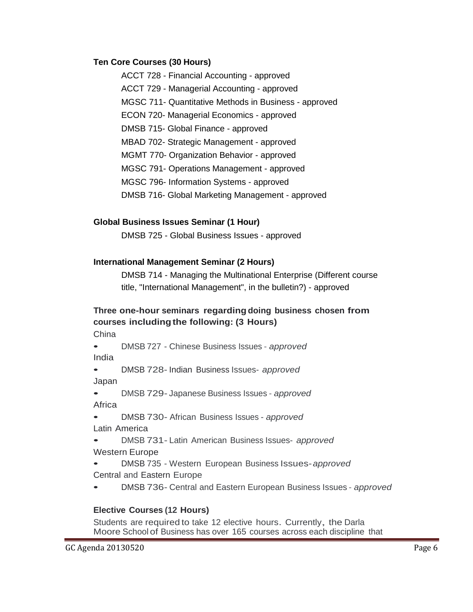## **Ten Core Courses (30 Hours)**

ACCT 728 - Financial Accounting - approved ACCT 729 - Managerial Accounting - approved MGSC 711- Quantitative Methods in Business - approved ECON 720- Managerial Economics - approved DMSB 715- Global Finance - approved MBAD 702- Strategic Management - approved

MGMT 770- Organization Behavior - approved

MGSC 791- Operations Management - approved

MGSC 796- Information Systems - approved

DMSB 716- Global Marketing Management - approved

## **Global Business Issues Seminar (1 Hour)**

DMSB 725 - Global Business Issues - approved

#### **International Management Seminar (2 Hours)**

DMSB 714 - Managing the Multinational Enterprise (Different course title, "International Management", in the bulletin?) - approved

# **Three one-hour seminars regarding doing business chosen from courses includingthe following: (3 Hours)**

**China** 

• DMSB <sup>727</sup> - Chinese Business Issues - *approved* India

• DMSB 728- Indian Business Issues- *approved* Japan

• DMSB 729- Japanese Business Issues - *approved* **Africa** 

- DMSB 730- African Business Issues *approved* Latin America
- DMSB 731- Latin American Business Issues- *approved* Western Europe
- DMSB <sup>735</sup> Western European Business Issues-*approved* Central and Eastern Europe
- DMSB 736- Central and Eastern European Business Issues *approved*

# **Elective Courses (12 Hours)**

Students are required to take <sup>12</sup> elective hours. Currently, the Darla Moore School of Business has over 165 courses across each discipline that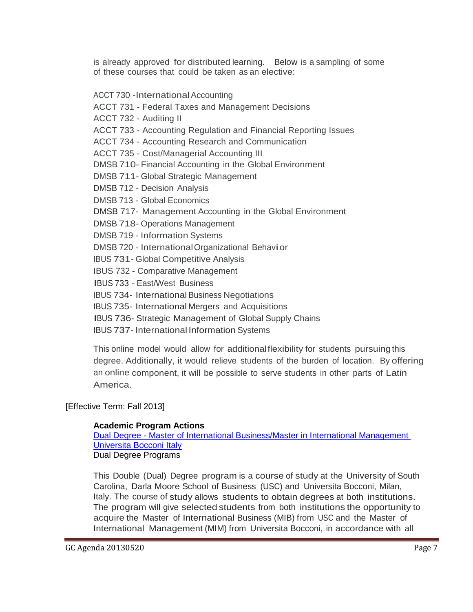is already approved for distributed learning. Below is a sampling of some of these courses that could be taken as an elective:

ACCT 730 - International Accounting

ACCT 731 - Federal Taxes and Management Decisions

ACCT 732 - Auditing II

ACCT 733 - Accounting Regulation and Financial Reporting Issues

ACCT 734 - Accounting Research and Communication

ACCT 735 - Cost/Managerial Accounting III

DMSB 710- Financial Accounting in the Global Environment

DMSB 711- Global Strategic Management

DMSB 712 - Decision Analysis

DMSB 713 - Global Economics

DMSB 717- Management Accounting in the Global Environment

DMSB 718- Operations Management

DMSB 719 - Information Systems

DMSB <sup>720</sup> - InternationalOrganizational Behavior

IBUS 731- Global Competitive Analysis

IBUS 732 - Comparative Management

IBUS <sup>733</sup> - East/West Business

**IBUS 734- International Business Negotiations** 

IBUS 735- International Mergers and Acquisitions

IBUS 736- Strategic Management of Global Supply Chains

IBUS 737- International Information Systems

This online model would allow for additionalflexibility for students pursuingthis degree. Additionally, it would relieve students of the burden of location. By offering an online component, it will be possible to serve students in other parts of Latin America.

[Effective Term: Fall 2013]

## **Academic Program Actions**

Dual Degree - [Master of International Business/Master in International Management](http://gradschool.sc.edu/facstaff/gradcouncil/2012/MIB%20and%20MIB%20Internation%20Dual%20Degree%20APA%20BCH.pdf)  [Universita Bocconi Italy](http://gradschool.sc.edu/facstaff/gradcouncil/2012/MIB%20and%20MIB%20Internation%20Dual%20Degree%20APA%20BCH.pdf) Dual Degree Programs

This Double (Dual) Degree program is a course of study at the University of South Carolina, Darla Moore School of Business (USC) and Universita Bocconi, Milan, Italy. The course of study allows students to obtain degrees at both institutions. The program will give selected students from both institutions the opportunity to acquire the Master of International Business (MIB) from USC and the Master of International Management (MIM) from Universita Bocconi, in accordance with all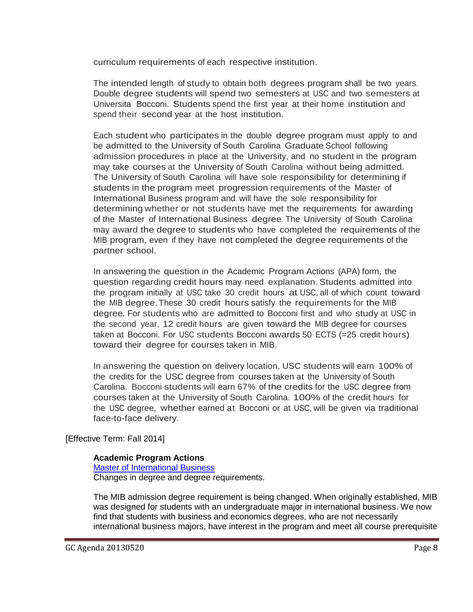curriculum requirements of each respective institution.

The intended length of study to obtain both degrees program shall be two years. Double degree students will spend two semesters at USC and two semesters at Universita Bocconi. Students spend the first year at their home institution and spend their second year at the host institution.

Each student who participates in the double degree program must apply to and be admitted to the University of South Carolina Graduate School following admission procedures in place at the University, and no student in the program may take courses at the University of South Carolina without being admitted. The University of South Carolina will have sole responsibility for determining if students in the program meet progression requirements of the Master of International Business program and will have the sole responsibility for determining whether or not students have met the requirements for awarding of the Master of International Business degree. The University of South Carolina may award the degree to students who have completed the requirements of the MIB program, even if they have not completed the degree requirements of the partner school.

In answering the question in the Academic Program Actions (APA) form, the question regarding credit hours may need explanation. Students admitted into the program initially at USC take 30 credit hours at USC, all of which count toward the MIB degree.These 30 credit hours satisfy the requirements for the MIB degree. For students who are admitted to Bocconi first and who study at USC in the second year, 12 credit hours are given toward the MIB degree for courses taken at Bocconi. For USC students Bocconi awards 50 ECTS (=25 credit hours) toward their degree for courses taken in MIB.

In answering the question on delivery location, USC students will earn 100% of the credits for the USC degree from courses taken at the University of South Carolina. Bocconi students will earn 67% of the credits for the USC degree from courses taken at the University of South Carolina. 100% of the credit hours for the USC degree, whether earned at Bocconi or at USC, will be given via traditional face-to-face delivery.

[Effective Term: Fall 2014]

# **Academic Program Actions**

**[Master of International Business](http://gradschool.sc.edu/facstaff/gradcouncil/2012/APA%20MIB%20change%20reqs_Redacted.pdf)** Changes in degree and degree requirements.

The MIB admission degree requirement is being changed. When originally established, MIB was designed for students with an undergraduate major in international business. We now find that students with business and economics degrees, who are not necessarily international business majors, have interest in the program and meet all course prerequisite